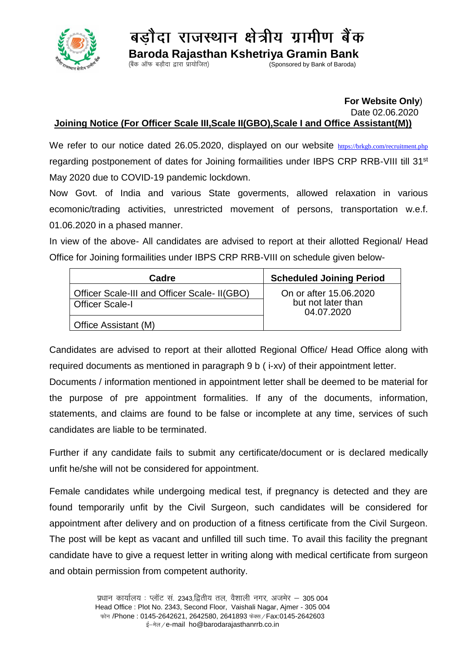

बडौदा राजस्थान क्षेत्रीय ग्रामीण बैंक

 **Baroda Rajasthan Kshetriya Gramin Bank**  $\sum_{k=1}^{\infty}$  Sponsored by Bank of Baroda)

## **For Website Only**)

Date 02.06.2020

## **Joining Notice (For Officer Scale III,Scale II(GBO),Scale I and Office Assistant(M))**

We refer to our notice dated 26.05.2020, displayed on our website <https://brkgb.com/recruitment.php> regarding postponement of dates for Joining formailities under IBPS CRP RRB-VIII till 31<sup>st</sup> May 2020 due to COVID-19 pandemic lockdown.

Now Govt. of India and various State goverments, allowed relaxation in various ecomonic/trading activities, unrestricted movement of persons, transportation w.e.f. 01.06.2020 in a phased manner.

In view of the above- All candidates are advised to report at their allotted Regional/ Head Office for Joining formailities under IBPS CRP RRB-VIII on schedule given below-

| Cadre                                                                  | <b>Scheduled Joining Period</b>                            |
|------------------------------------------------------------------------|------------------------------------------------------------|
| Officer Scale-III and Officer Scale- II(GBO)<br><b>Officer Scale-I</b> | On or after 15,06,2020<br>but not later than<br>04.07.2020 |
| Office Assistant (M)                                                   |                                                            |

Candidates are advised to report at their allotted Regional Office/ Head Office along with required documents as mentioned in paragraph 9 b ( i-xv) of their appointment letter.

Documents / information mentioned in appointment letter shall be deemed to be material for the purpose of pre appointment formalities. If any of the documents, information, statements, and claims are found to be false or incomplete at any time, services of such candidates are liable to be terminated.

Further if any candidate fails to submit any certificate/document or is declared medically unfit he/she will not be considered for appointment.

Female candidates while undergoing medical test, if pregnancy is detected and they are found temporarily unfit by the Civil Surgeon, such candidates will be considered for appointment after delivery and on production of a fitness certificate from the Civil Surgeon. The post will be kept as vacant and unfilled till such time. To avail this facility the pregnant candidate have to give a request letter in writing along with medical certificate from surgeon and obtain permission from competent authority.